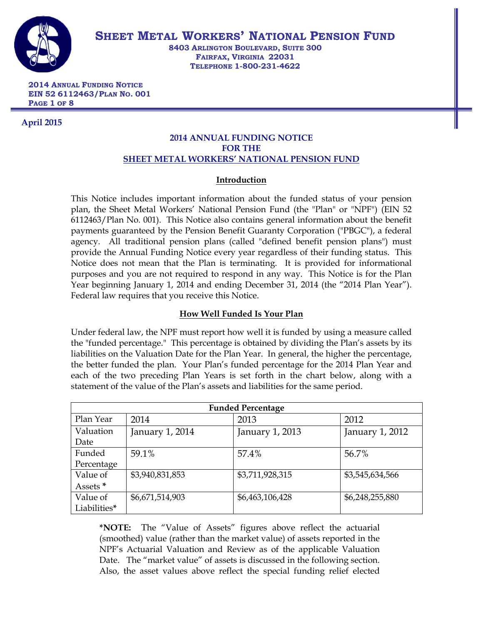

**8403 ARLINGTON BOULEVARD, SUITE 300 FAIRFAX, VIRGINIA 22031 TELEPHONE 1-800-231-4622**

**2014 ANNUAL FUNDING NOTICE EIN 52 6112463/PLAN NO. 001 PAGE 1 OF 8**

## **April 2015**

# **2014 ANNUAL FUNDING NOTICE FOR THE SHEET METAL WORKERS' NATIONAL PENSION FUND**

# **Introduction**

This Notice includes important information about the funded status of your pension plan, the Sheet Metal Workers' National Pension Fund (the "Plan" or "NPF") (EIN 52 6112463/Plan No. 001). This Notice also contains general information about the benefit payments guaranteed by the Pension Benefit Guaranty Corporation ("PBGC"), a federal agency. All traditional pension plans (called "defined benefit pension plans") must provide the Annual Funding Notice every year regardless of their funding status. This Notice does not mean that the Plan is terminating. It is provided for informational purposes and you are not required to respond in any way. This Notice is for the Plan Year beginning January 1, 2014 and ending December 31, 2014 (the "2014 Plan Year"). Federal law requires that you receive this Notice.

# **How Well Funded Is Your Plan**

Under federal law, the NPF must report how well it is funded by using a measure called the "funded percentage." This percentage is obtained by dividing the Plan's assets by its liabilities on the Valuation Date for the Plan Year. In general, the higher the percentage, the better funded the plan. Your Plan's funded percentage for the 2014 Plan Year and each of the two preceding Plan Years is set forth in the chart below, along with a statement of the value of the Plan's assets and liabilities for the same period.

| <b>Funded Percentage</b> |                 |                 |                 |  |  |
|--------------------------|-----------------|-----------------|-----------------|--|--|
| Plan Year                | 2014            | 2013            | 2012            |  |  |
| Valuation                | January 1, 2014 | January 1, 2013 | January 1, 2012 |  |  |
| Date                     |                 |                 |                 |  |  |
| Funded                   | 59.1%           | 57.4%           | 56.7%           |  |  |
| Percentage               |                 |                 |                 |  |  |
| Value of                 | \$3,940,831,853 | \$3,711,928,315 | \$3,545,634,566 |  |  |
| Assets *                 |                 |                 |                 |  |  |
| Value of                 | \$6,671,514,903 | \$6,463,106,428 | \$6,248,255,880 |  |  |
| Liabilities*             |                 |                 |                 |  |  |

**\*NOTE:** The "Value of Assets" figures above reflect the actuarial (smoothed) value (rather than the market value) of assets reported in the NPF's Actuarial Valuation and Review as of the applicable Valuation Date. The "market value" of assets is discussed in the following section. Also, the asset values above reflect the special funding relief elected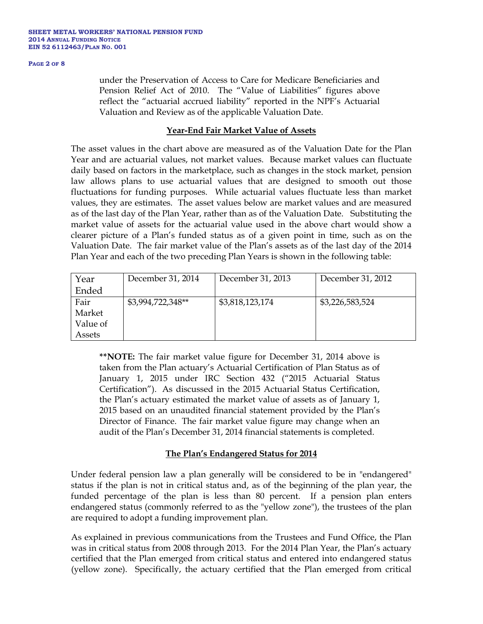#### **PAGE 2 OF 8**

under the Preservation of Access to Care for Medicare Beneficiaries and Pension Relief Act of 2010. The "Value of Liabilities" figures above reflect the "actuarial accrued liability" reported in the NPF's Actuarial Valuation and Review as of the applicable Valuation Date.

### **Year-End Fair Market Value of Assets**

The asset values in the chart above are measured as of the Valuation Date for the Plan Year and are actuarial values, not market values. Because market values can fluctuate daily based on factors in the marketplace, such as changes in the stock market, pension law allows plans to use actuarial values that are designed to smooth out those fluctuations for funding purposes. While actuarial values fluctuate less than market values, they are estimates. The asset values below are market values and are measured as of the last day of the Plan Year, rather than as of the Valuation Date. Substituting the market value of assets for the actuarial value used in the above chart would show a clearer picture of a Plan's funded status as of a given point in time, such as on the Valuation Date. The fair market value of the Plan's assets as of the last day of the 2014 Plan Year and each of the two preceding Plan Years is shown in the following table:

| Year     | December 31, 2014 | December 31, 2013 | December 31, 2012 |
|----------|-------------------|-------------------|-------------------|
| Ended    |                   |                   |                   |
| Fair     | \$3,994,722,348** | \$3,818,123,174   | \$3,226,583,524   |
| Market   |                   |                   |                   |
| Value of |                   |                   |                   |
| Assets   |                   |                   |                   |

**\*\*NOTE:** The fair market value figure for December 31, 2014 above is taken from the Plan actuary's Actuarial Certification of Plan Status as of January 1, 2015 under IRC Section 432 ("2015 Actuarial Status Certification"). As discussed in the 2015 Actuarial Status Certification, the Plan's actuary estimated the market value of assets as of January 1, 2015 based on an unaudited financial statement provided by the Plan's Director of Finance. The fair market value figure may change when an audit of the Plan's December 31, 2014 financial statements is completed.

# **The Plan's Endangered Status for 2014**

Under federal pension law a plan generally will be considered to be in "endangered" status if the plan is not in critical status and, as of the beginning of the plan year, the funded percentage of the plan is less than 80 percent. If a pension plan enters endangered status (commonly referred to as the "yellow zone"), the trustees of the plan are required to adopt a funding improvement plan.

As explained in previous communications from the Trustees and Fund Office, the Plan was in critical status from 2008 through 2013. For the 2014 Plan Year, the Plan's actuary certified that the Plan emerged from critical status and entered into endangered status (yellow zone). Specifically, the actuary certified that the Plan emerged from critical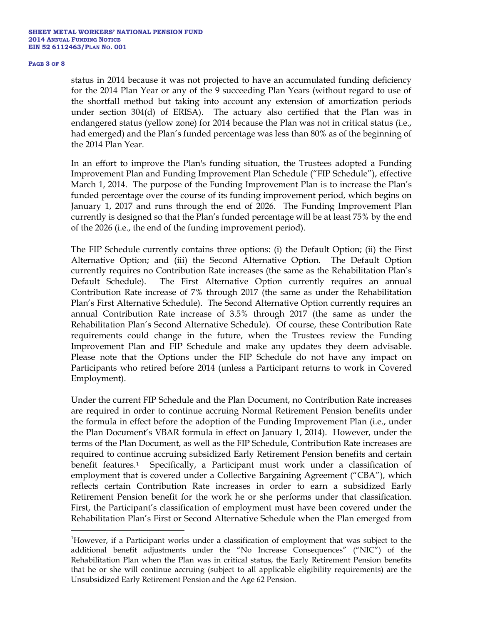#### **PAGE 3 OF 8**

status in 2014 because it was not projected to have an accumulated funding deficiency for the 2014 Plan Year or any of the 9 succeeding Plan Years (without regard to use of the shortfall method but taking into account any extension of amortization periods under section 304(d) of ERISA). The actuary also certified that the Plan was in endangered status (yellow zone) for 2014 because the Plan was not in critical status (i.e., had emerged) and the Plan's funded percentage was less than 80% as of the beginning of the 2014 Plan Year.

In an effort to improve the Plan's funding situation, the Trustees adopted a Funding Improvement Plan and Funding Improvement Plan Schedule ("FIP Schedule"), effective March 1, 2014. The purpose of the Funding Improvement Plan is to increase the Plan's funded percentage over the course of its funding improvement period, which begins on January 1, 2017 and runs through the end of 2026. The Funding Improvement Plan currently is designed so that the Plan's funded percentage will be at least 75% by the end of the 2026 (i.e., the end of the funding improvement period).

The FIP Schedule currently contains three options: (i) the Default Option; (ii) the First Alternative Option; and (iii) the Second Alternative Option. The Default Option currently requires no Contribution Rate increases (the same as the Rehabilitation Plan's Default Schedule). The First Alternative Option currently requires an annual Contribution Rate increase of 7% through 2017 (the same as under the Rehabilitation Plan's First Alternative Schedule). The Second Alternative Option currently requires an annual Contribution Rate increase of 3.5% through 2017 (the same as under the Rehabilitation Plan's Second Alternative Schedule). Of course, these Contribution Rate requirements could change in the future, when the Trustees review the Funding Improvement Plan and FIP Schedule and make any updates they deem advisable. Please note that the Options under the FIP Schedule do not have any impact on Participants who retired before 2014 (unless a Participant returns to work in Covered Employment).

Under the current FIP Schedule and the Plan Document, no Contribution Rate increases are required in order to continue accruing Normal Retirement Pension benefits under the formula in effect before the adoption of the Funding Improvement Plan (i.e., under the Plan Document's VBAR formula in effect on January 1, 2014). However, under the terms of the Plan Document, as well as the FIP Schedule, Contribution Rate increases are required to continue accruing subsidized Early Retirement Pension benefits and certain benefit features.[1](#page-2-0) Specifically, a Participant must work under a classification of employment that is covered under a Collective Bargaining Agreement ("CBA"), which reflects certain Contribution Rate increases in order to earn a subsidized Early Retirement Pension benefit for the work he or she performs under that classification. First, the Participant's classification of employment must have been covered under the Rehabilitation Plan's First or Second Alternative Schedule when the Plan emerged from

<span id="page-2-0"></span> $\frac{1}{1}$ However, if a Participant works under a classification of employment that was subject to the additional benefit adjustments under the "No Increase Consequences" ("NIC") of the Rehabilitation Plan when the Plan was in critical status, the Early Retirement Pension benefits that he or she will continue accruing (subject to all applicable eligibility requirements) are the Unsubsidized Early Retirement Pension and the Age 62 Pension.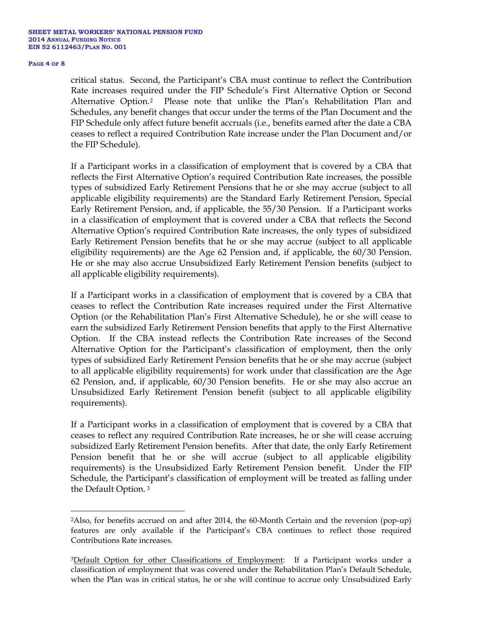### **PAGE 4 OF 8**

 $\overline{a}$ 

critical status. Second, the Participant's CBA must continue to reflect the Contribution Rate increases required under the FIP Schedule's First Alternative Option or Second Alternative Option.[2](#page-3-0) Please note that unlike the Plan's Rehabilitation Plan and Schedules, any benefit changes that occur under the terms of the Plan Document and the FIP Schedule only affect future benefit accruals (i.e., benefits earned after the date a CBA ceases to reflect a required Contribution Rate increase under the Plan Document and/or the FIP Schedule).

If a Participant works in a classification of employment that is covered by a CBA that reflects the First Alternative Option's required Contribution Rate increases, the possible types of subsidized Early Retirement Pensions that he or she may accrue (subject to all applicable eligibility requirements) are the Standard Early Retirement Pension, Special Early Retirement Pension, and, if applicable, the 55/30 Pension. If a Participant works in a classification of employment that is covered under a CBA that reflects the Second Alternative Option's required Contribution Rate increases, the only types of subsidized Early Retirement Pension benefits that he or she may accrue (subject to all applicable eligibility requirements) are the Age 62 Pension and, if applicable, the 60/30 Pension. He or she may also accrue Unsubsidized Early Retirement Pension benefits (subject to all applicable eligibility requirements).

If a Participant works in a classification of employment that is covered by a CBA that ceases to reflect the Contribution Rate increases required under the First Alternative Option (or the Rehabilitation Plan's First Alternative Schedule), he or she will cease to earn the subsidized Early Retirement Pension benefits that apply to the First Alternative Option. If the CBA instead reflects the Contribution Rate increases of the Second Alternative Option for the Participant's classification of employment, then the only types of subsidized Early Retirement Pension benefits that he or she may accrue (subject to all applicable eligibility requirements) for work under that classification are the Age 62 Pension, and, if applicable, 60/30 Pension benefits. He or she may also accrue an Unsubsidized Early Retirement Pension benefit (subject to all applicable eligibility requirements).

If a Participant works in a classification of employment that is covered by a CBA that ceases to reflect any required Contribution Rate increases, he or she will cease accruing subsidized Early Retirement Pension benefits. After that date, the only Early Retirement Pension benefit that he or she will accrue (subject to all applicable eligibility requirements) is the Unsubsidized Early Retirement Pension benefit. Under the FIP Schedule, the Participant's classification of employment will be treated as falling under the Default Option. [3](#page-3-1)

<span id="page-3-0"></span><sup>2</sup>Also, for benefits accrued on and after 2014, the 60-Month Certain and the reversion (pop-up) features are only available if the Participant's CBA continues to reflect those required Contributions Rate increases.

<span id="page-3-1"></span><sup>&</sup>lt;sup>3</sup>Default Option for other Classifications of Employment: If a Participant works under a classification of employment that was covered under the Rehabilitation Plan's Default Schedule, when the Plan was in critical status, he or she will continue to accrue only Unsubsidized Early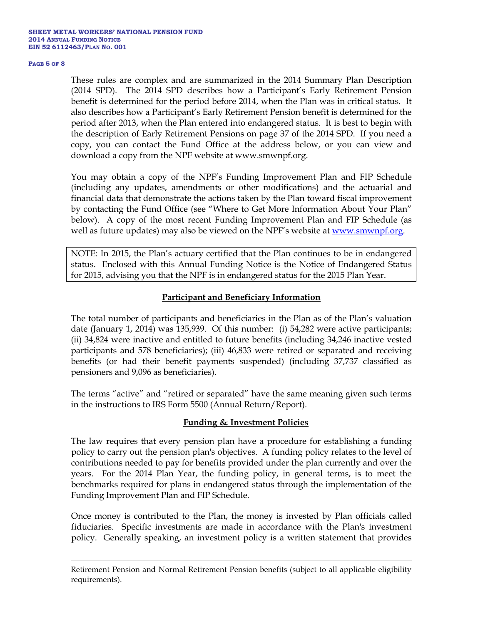### **PAGE 5 OF 8**

 $\overline{a}$ 

These rules are complex and are summarized in the 2014 Summary Plan Description (2014 SPD). The 2014 SPD describes how a Participant's Early Retirement Pension benefit is determined for the period before 2014, when the Plan was in critical status. It also describes how a Participant's Early Retirement Pension benefit is determined for the period after 2013, when the Plan entered into endangered status. It is best to begin with the description of Early Retirement Pensions on page 37 of the 2014 SPD. If you need a copy, you can contact the Fund Office at the address below, or you can view and download a copy from the NPF website at www.smwnpf.org.

You may obtain a copy of the NPF's Funding Improvement Plan and FIP Schedule (including any updates, amendments or other modifications) and the actuarial and financial data that demonstrate the actions taken by the Plan toward fiscal improvement by contacting the Fund Office (see "Where to Get More Information About Your Plan" below). A copy of the most recent Funding Improvement Plan and FIP Schedule (as well as future updates) may also be viewed on the NPF's website at [www.smwnpf.org.](http://www.smwnpf.org/)

NOTE: In 2015, the Plan's actuary certified that the Plan continues to be in endangered status. Enclosed with this Annual Funding Notice is the Notice of Endangered Status for 2015, advising you that the NPF is in endangered status for the 2015 Plan Year.

# **Participant and Beneficiary Information**

The total number of participants and beneficiaries in the Plan as of the Plan's valuation date (January 1, 2014) was 135,939. Of this number: (i) 54,282 were active participants; (ii) 34,824 were inactive and entitled to future benefits (including 34,246 inactive vested participants and 578 beneficiaries); (iii) 46,833 were retired or separated and receiving benefits (or had their benefit payments suspended) (including 37,737 classified as pensioners and 9,096 as beneficiaries).

The terms "active" and "retired or separated" have the same meaning given such terms in the instructions to IRS Form 5500 (Annual Return/Report).

## **Funding & Investment Policies**

The law requires that every pension plan have a procedure for establishing a funding policy to carry out the pension plan's objectives. A funding policy relates to the level of contributions needed to pay for benefits provided under the plan currently and over the years. For the 2014 Plan Year, the funding policy, in general terms, is to meet the benchmarks required for plans in endangered status through the implementation of the Funding Improvement Plan and FIP Schedule.

Once money is contributed to the Plan, the money is invested by Plan officials called fiduciaries. Specific investments are made in accordance with the Plan's investment policy. Generally speaking, an investment policy is a written statement that provides

Retirement Pension and Normal Retirement Pension benefits (subject to all applicable eligibility requirements).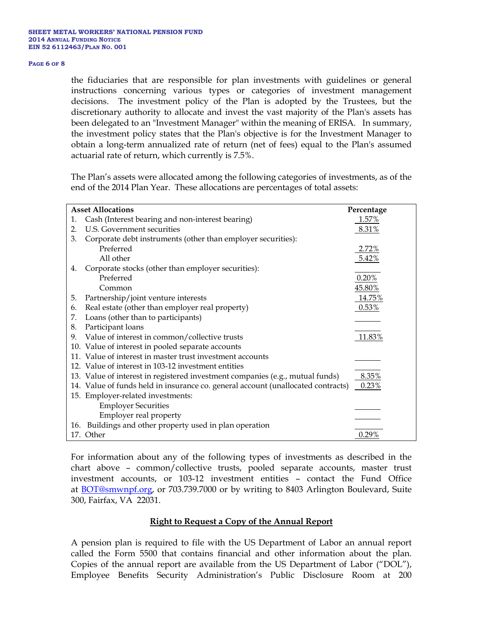### **PAGE 6 OF 8**

the fiduciaries that are responsible for plan investments with guidelines or general instructions concerning various types or categories of investment management decisions. The investment policy of the Plan is adopted by the Trustees, but the discretionary authority to allocate and invest the vast majority of the Plan's assets has been delegated to an "Investment Manager" within the meaning of ERISA. In summary, the investment policy states that the Plan's objective is for the Investment Manager to obtain a long-term annualized rate of return (net of fees) equal to the Plan's assumed actuarial rate of return, which currently is 7.5%.

The Plan's assets were allocated among the following categories of investments, as of the end of the 2014 Plan Year. These allocations are percentages of total assets:

| <b>Asset Allocations</b> | Percentage                                                                       |          |
|--------------------------|----------------------------------------------------------------------------------|----------|
| 1.                       | Cash (Interest bearing and non-interest bearing)                                 | 1.57%    |
| 2.                       | U.S. Government securities                                                       | 8.31%    |
| 3.                       | Corporate debt instruments (other than employer securities):                     |          |
|                          | Preferred                                                                        | 2.72%    |
|                          | All other                                                                        | 5.42%    |
| 4.                       | Corporate stocks (other than employer securities):                               |          |
|                          | Preferred                                                                        | 0.20%    |
|                          | Common                                                                           | 45.80%   |
| 5.                       | Partnership/joint venture interests                                              | 14.75%   |
| 6.                       | Real estate (other than employer real property)                                  | $0.53\%$ |
| 7.                       | Loans (other than to participants)                                               |          |
| 8.                       | Participant loans                                                                |          |
| 9.                       | Value of interest in common/collective trusts                                    | 11.83%   |
|                          | 10. Value of interest in pooled separate accounts                                |          |
|                          | 11. Value of interest in master trust investment accounts                        |          |
|                          | 12. Value of interest in 103-12 investment entities                              |          |
|                          | 13. Value of interest in registered investment companies (e.g., mutual funds)    | 8.35%    |
|                          | 14. Value of funds held in insurance co. general account (unallocated contracts) | 0.23%    |
|                          | 15. Employer-related investments:                                                |          |
|                          | <b>Employer Securities</b>                                                       |          |
|                          | Employer real property                                                           |          |
| 16.                      | Buildings and other property used in plan operation                              |          |
|                          | 17. Other                                                                        | $0.29\%$ |

For information about any of the following types of investments as described in the chart above – common/collective trusts, pooled separate accounts, master trust investment accounts, or 103-12 investment entities – contact the Fund Office at [BOT@smwnpf.org,](mailto:BOT@smwnpf.org) or 703.739.7000 or by writing to 8403 Arlington Boulevard, Suite 300, Fairfax, VA 22031.

## **Right to Request a Copy of the Annual Report**

A pension plan is required to file with the US Department of Labor an annual report called the Form 5500 that contains financial and other information about the plan. Copies of the annual report are available from the US Department of Labor ("DOL"), Employee Benefits Security Administration's Public Disclosure Room at 200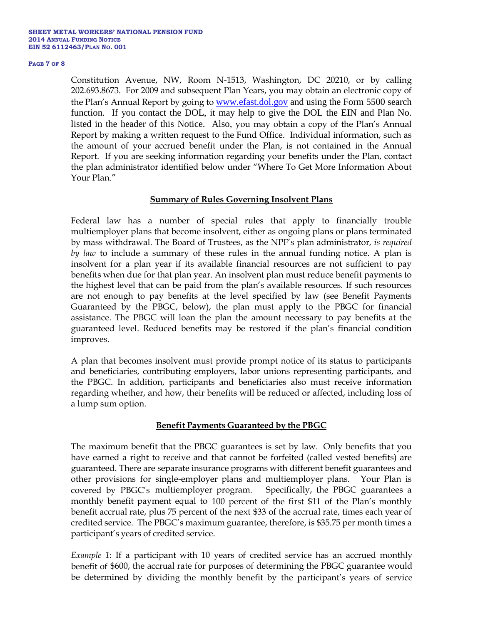### **PAGE 7 OF 8**

Constitution Avenue, NW, Room N-1513, Washington, DC 20210, or by calling 202.693.8673. For 2009 and subsequent Plan Years, you may obtain an electronic copy of the Plan's Annual Report by going to [www.efast.dol.gov](http://www.efast.dol.gov/) and using the Form 5500 search function. If you contact the DOL, it may help to give the DOL the EIN and Plan No. listed in the header of this Notice. Also, you may obtain a copy of the Plan's Annual Report by making a written request to the Fund Office. Individual information, such as the amount of your accrued benefit under the Plan, is not contained in the Annual Report. If you are seeking information regarding your benefits under the Plan, contact the plan administrator identified below under "Where To Get More Information About Your Plan."

### **Summary of Rules Governing Insolvent Plans**

Federal law has a number of special rules that apply to financially trouble multiemployer plans that become insolvent, either as ongoing plans or plans terminated by mass withdrawal. The Board of Trustees, as the NPF's plan administrator*, is required by law* to include a summary of these rules in the annual funding notice. A plan is insolvent for a plan year if its available financial resources are not sufficient to pay benefits when due for that plan year. An insolvent plan must reduce benefit payments to the highest level that can be paid from the plan's available resources. If such resources are not enough to pay benefits at the level specified by law (see Benefit Payments Guaranteed by the PBGC, below), the plan must apply to the PBGC for financial assistance. The PBGC will loan the plan the amount necessary to pay benefits at the guaranteed level. Reduced benefits may be restored if the plan's financial condition improves.

A plan that becomes insolvent must provide prompt notice of its status to participants and beneficiaries, contributing employers, labor unions representing participants, and the PBGC. In addition, participants and beneficiaries also must receive information regarding whether, and how, their benefits will be reduced or affected, including loss of a lump sum option.

### **Benefit Payments Guaranteed by the PBGC**

The maximum benefit that the PBGC guarantees is set by law. Only benefits that you have earned a right to receive and that cannot be forfeited (called vested benefits) are guaranteed. There are separate insurance programs with different benefit guarantees and other provisions for single-employer plans and multiemployer plans. Your Plan is covered by PBGC's multiemployer program. Specifically, the PBGC guarantees a monthly benefit payment equal to 100 percent of the first \$11 of the Plan's monthly benefit accrual rate, plus 75 percent of the next \$33 of the accrual rate, times each year of credited service. The PBGC's maximum guarantee, therefore, is \$35.75 per month times a participant's years of credited service.

*Example 1*: If a participant with 10 years of credited service has an accrued monthly benefit of \$600, the accrual rate for purposes of determining the PBGC guarantee would be determined by dividing the monthly benefit by the participant's years of service